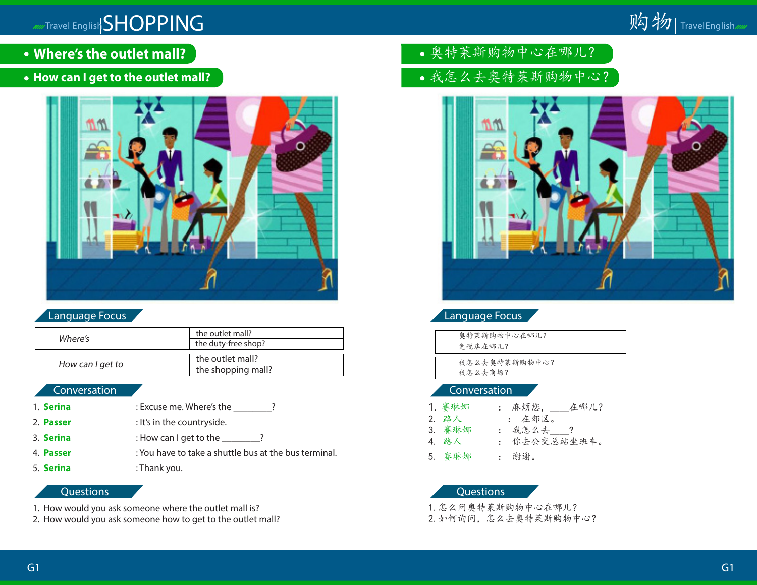

- **Where's the outlet mall?**
- **How can I get to the outlet mall?**



# Language Focus

| Where's          | the outlet mall?<br>the duty-free shop? |
|------------------|-----------------------------------------|
| How can I get to | the outlet mall?                        |
|                  | the shopping mall?                      |

# Conversation

- 1. **Serina** : Excuse me. Where's the \_\_\_\_\_\_\_?
- 2. **Passer** : It's in the countryside.
- 3. **Serina** : How can I get to the \_\_\_\_\_\_\_?
- 4. **Passer** : You have to take a shuttle bus at the bus terminal.
- 5. **Serina** : Thank you.

### Questions

- 1. How would you ask someone where the outlet mall is?
- 2. How would you ask someone how to get to the outlet mall?
- 奥特莱斯购物中心在哪儿?
- 我怎么去奥特莱斯购物中心?



Language Focus

| 奧特莱斯购物中心在哪儿?  |  |
|---------------|--|
| 免税店在哪儿?       |  |
|               |  |
| 我怎么去奥特莱斯购物中心? |  |
| 我怎么去商场?       |  |
|               |  |

#### Conversation

| 1. 赛琳娜 | 在哪儿?<br>: 麻烦您, |
|--------|----------------|
| 2. 路人  | : 在郊区。         |
| 3. 赛琳娜 | : 我怎么去___?     |
| 4. 路人  | : 你去公交总站坐班车。   |
| 5. 赛琳娜 | : 谢谢。          |

#### Questions

1.怎么问奥特莱斯购物中心在哪儿? 2.如何询问,怎么去奥特莱斯购物中心?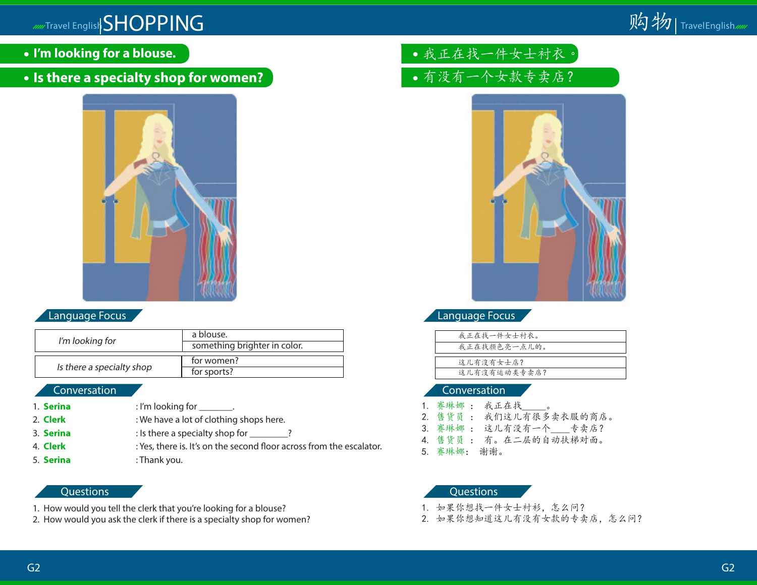- **I'm looking for a blouse.**
- **Is there a specialty shop for women?**



# Language Focus

| I'm looking for           | a blouse.<br>something brighter in color. |
|---------------------------|-------------------------------------------|
| Is there a specialty shop | for women?<br>for sports?                 |

### Conversation

- 1. **Serina** : I'm looking for \_\_\_\_\_\_\_.
- 2. **Clerk** : We have a lot of clothing shops here.
- 3. **Serina** : Is there a specialty shop for \_\_\_\_\_\_\_?
- 4. **Clerk** : Yes, there is. It's on the second floor across from the escalator.
- 5. **Serina** : Thank you.

### **Questions**

- 1. How would you tell the clerk that you're looking for a blouse?
- 2. How would you ask the clerk if there is a specialty shop for women?
- 我正在找一件女士衬衣。
- 有没有一个女款专卖店?



# Language Focus

| 我正在找一件女士衬衣。  |
|--------------|
| 我正在找颜色亮一点儿的。 |
|              |
| 这儿有沒有女士店?    |
| 这儿有沒有运动类专卖店? |
|              |

### Conversation

- 赛琳娜: 我正在找
- 2. 售货员 : 我们这儿有很多卖衣服的商店。
- 3. 赛琳娜 : 这儿有没有一个\_\_\_\_专卖店?
- 4. 售货员 : 有。在二层的自动扶梯对面。
- 5. 赛琳娜: 谢谢。

- 1. 如果你想找一件女士衬衫,怎么问?
- 2. 如果你想知道这儿有没有女款的专卖店,怎么问?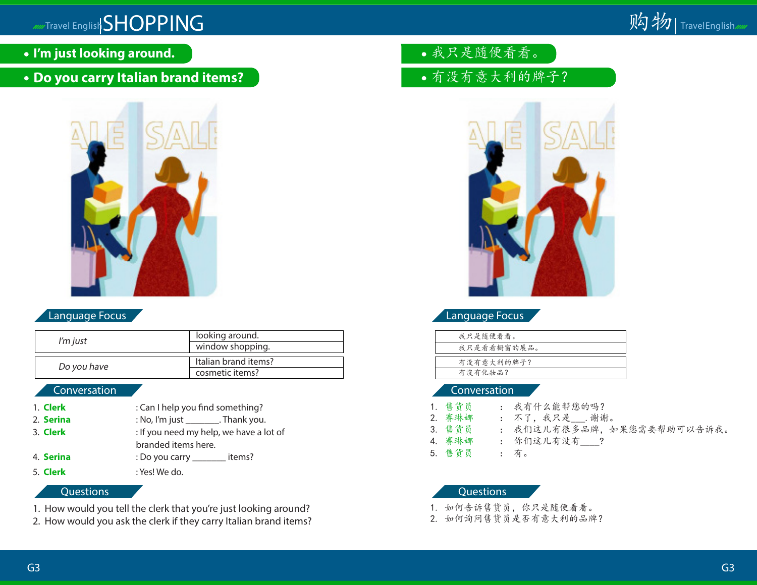- **I'm just looking around.**
- **Do you carry Italian brand items?**



# Language Focus

| I'm just    | looking around.      |  |
|-------------|----------------------|--|
|             | window shopping.     |  |
|             |                      |  |
| Do you have | Italian brand items? |  |
|             | cosmetic items?      |  |
|             |                      |  |

# Conversation

- 1. **Clerk** : Can I help you find something? 2. **Serina** : No, I'm just \_\_\_\_\_\_\_. Thank you.
- 3. **Clerk** : If you need my help, we have a lot of
	- branded items here.
- 4. **Serina** : Do you carry \_\_\_\_\_\_\_\_ items?
- 
- 5. **Clerk** : Yes! We do.

# **Questions**

- 1. How would you tell the clerk that you're just looking around?
- 2. How would you ask the clerk if they carry Italian brand items?
- 我只是随便看看。
- 有没有意大利的牌子?



# Language Focus

| 我只是随便看看。    |
|-------------|
| 我只是看看橱窗的展品。 |
|             |
| 有没有意大利的牌子?  |
| 有沒有化妝品?     |
|             |

# Conversation

1. 售货员 : 我有什么能帮您的吗?<br>2. 赛琳娜 : 不了, 我只是 .谢谢 : 不了, 我只是\_\_\_. 谢谢。 3. 售货员 : 我们这儿有很多品牌,如果您需要帮助可以告诉我。 4. 赛琳娜 : 你们这儿有没有 5. 售货员 : 有。

- 1. 如何告诉售货员,你只是随便看看。
- 2. 如何询问售货员是否有意大利的品牌?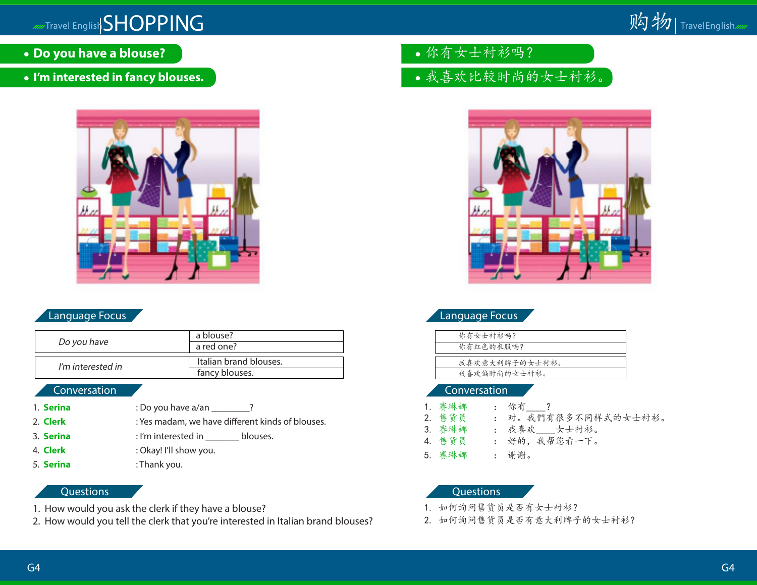

- **Do you have a blouse?**
- **I'm interested in fancy blouses.**



# Language Focus

| Do you have       | a blouse?<br>a red one?                  |
|-------------------|------------------------------------------|
| I'm interested in | Italian brand blouses.<br>fancy blouses. |

#### Conversation

- 1. **Serina** : Do you have a/an \_\_\_\_\_\_\_?
- 2. **Clerk** : Yes madam, we have different kinds of blouses.
- 3. **Serina** : I'm interested in \_\_\_\_\_\_\_ blouses.
- 4. **Clerk** : Okay! I'll show you.
- 5. **Serina** : Thank you.

#### **Questions**

- 1. How would you ask the clerk if they have a blouse?
- 2. How would you tell the clerk that you're interested in Italian brand blouses?
- 你有女士衬衫吗?
- 我喜欢比较时尚的女士衬衫。



| 你有女士衬衫吗?       |  |
|----------------|--|
| 你有红色的衣服吗?      |  |
|                |  |
| 我喜欢意大利牌子的女士衬衫。 |  |
| 我喜欢偏时尚的女士衬衫。   |  |
|                |  |

#### Conversation

1. 赛琳娜 : 你有\_\_\_\_?<br>2. 售货员 : 对。我們有 2. 售货员 : 对。我們有很多不同样式的女士衬衫。 3. 赛琳娜 : 我喜欢 女士衬衫。 4. 售货员 : 好的, 我帮您看一下。 5. 赛琳娜 : 谢谢。

- 1. 如何询问售货员是否有女士衬衫?
- 2. 如何询问售货员是否有意大利牌子的女士衬衫?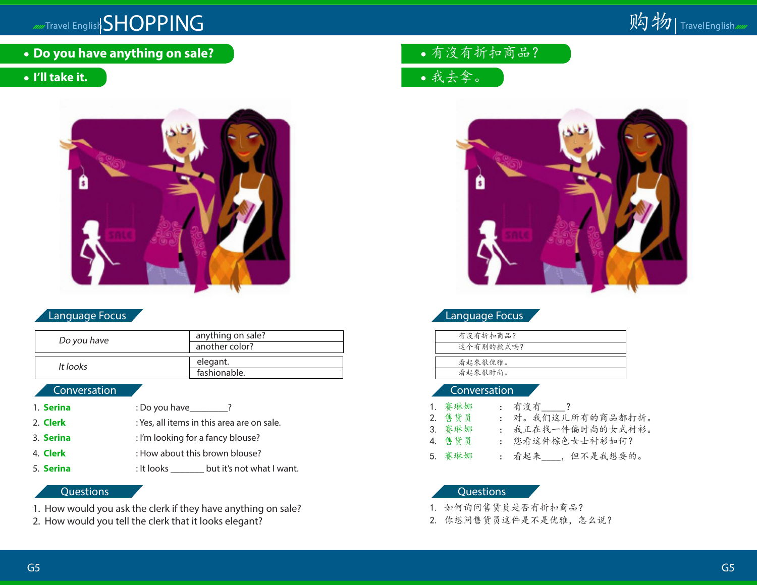**Do you have anything on sale?**

# **I'll take it.**



# Language Focus

| Do you have | anything on sale?<br>another color? |
|-------------|-------------------------------------|
| It looks    | elegant.<br>fashionable.            |

# **Conversation**

- 1. **Serina** : Do you have\_\_\_\_\_\_\_? 2. **Clerk** : Yes, all items in this area are on sale.
- 3. **Serina** : I'm looking for a fancy blouse?
- 4. **Clerk** : How about this brown blouse?
- 5. **Serina** : It looks \_\_\_\_\_\_\_ but it's not what I want.

# **Questions**

- 1. How would you ask the clerk if they have anything on sale?
- 2. How would you tell the clerk that it looks elegant?

有沒有折扣商品?

我去拿。



# Language Focus

| 有沒有折扣商品?  |  |
|-----------|--|
| 这个有别的款式吗? |  |
|           |  |
| 看起來很优雅。   |  |
| 看起來很时尚。   |  |

#### Conversation

| 1. 赛琳娜 | : 有沒有 ?             |
|--------|---------------------|
| 2. 售货员 | : 对。我们这儿所有的商品都打折。   |
| 3. 赛琳娜 | : 我正在找一件偏时尚的女式衬衫。   |
| 4. 售货员 | : 您看这件棕色女士衬衫如何?     |
| 5. 赛琳娜 | : 看起来____, 但不是我想要的。 |

- 1. 如何询问售货员是否有折扣商品?
- 2. 你想问售货员这件是不是优雅,怎么说?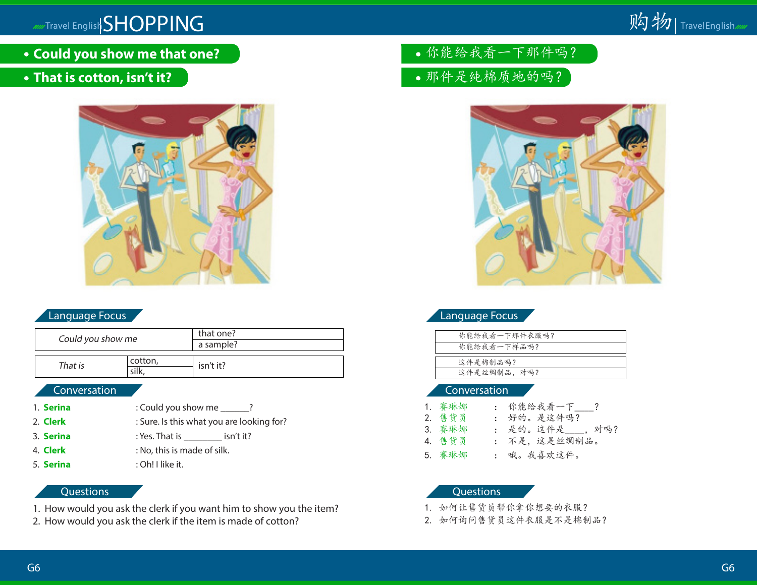**Could you show me that one?**

# **That is cotton, isn't it?**



# Language Focus

| Could you show me |         | that one? |
|-------------------|---------|-----------|
|                   |         | a sample? |
|                   |         |           |
| That is           | cotton, | isn't it? |
|                   |         |           |

# Conversation

- 1. **Serina** : Could you show me \_\_\_\_\_? 2. **Clerk** : Sure. Is this what you are looking for?
- 
- 3. **Serina** : Yes. That is \_\_\_\_\_\_\_\_ isn't it?
- 4. **Clerk** : No, this is made of silk.
- 5. **Serina** : Oh! I like it.

### Questions

- 1. How would you ask the clerk if you want him to show you the item?
- 2. How would you ask the clerk if the item is made of cotton?
- 你能给我看一下那件吗?
- 那件是纯棉质地的吗?



# Language Focus

| 你能给我看一下那件衣服吗? |
|---------------|
| 你能给我看一下样品吗?   |
|               |
| 这件是棉制品吗?      |
| 这件是丝绸制品, 对吗?  |
|               |

### Conversation

| 1. 赛琳娜 | : 你能给我看一下 ?       |  |
|--------|-------------------|--|
| 2. 售货员 | : 好的。是这件吗?        |  |
| 3. 赛琳娜 | : 是的。这件是____, 对吗? |  |
| 4. 售货员 | : 不是, 这是丝绸制品。     |  |
| 5. 赛琳娜 | : 哦。我喜欢这件。        |  |

- 1. 如何让售货员帮你拿你想要的衣服?
- 2. 如何询问售货员这件衣服是不是棉制品?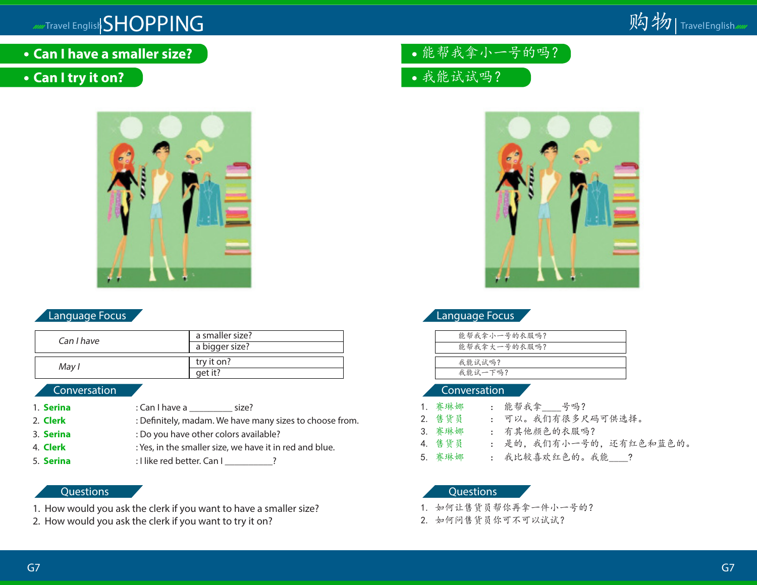- **Can I have a smaller size?**
- **Can I try it on?**



# Language Focus

| Can I have | a smaller size?<br>a bigger size? |
|------------|-----------------------------------|
| May I      | try it on?<br>aet it?             |

#### Conversation

1. **Serina** : Can I have a size? 2. **Clerk** : Definitely, madam. We have many sizes to choose from. 3. **Serina** : Do you have other colors available? 4. **Clerk** : Yes, in the smaller size, we have it in red and blue. 5. **Serina** : I like red better. Can I \_\_\_\_\_\_\_\_\_?

#### **Questions**

- 1. How would you ask the clerk if you want to have a smaller size?
- 2. How would you ask the clerk if you want to try it on?
- 能帮我拿小一号的吗?
- 我能试试吗?



# Language Focus

| 能帮我拿小一号的衣服吗? |
|--------------|
| 能帮我拿大一号的衣服吗? |
|              |
| 我能试试吗?       |
| 我能试一下吗?      |
|              |

#### Conversation

1. 赛琳娜 : 能帮我拿 号吗? 2. 售货员 : 可以。我们有很多尺码可供选择。 3. 赛琳娜 : 有其他颜色的衣服吗? 4. 售货员 : 是的,我们有小一号的,还有红色和蓝色的。 5. 赛琳娜 : 我比较喜欢红色的。我能 ?

- 1. 如何让售货员帮你再拿一件小一号的?
- 2. 如何问售货员你可不可以试试?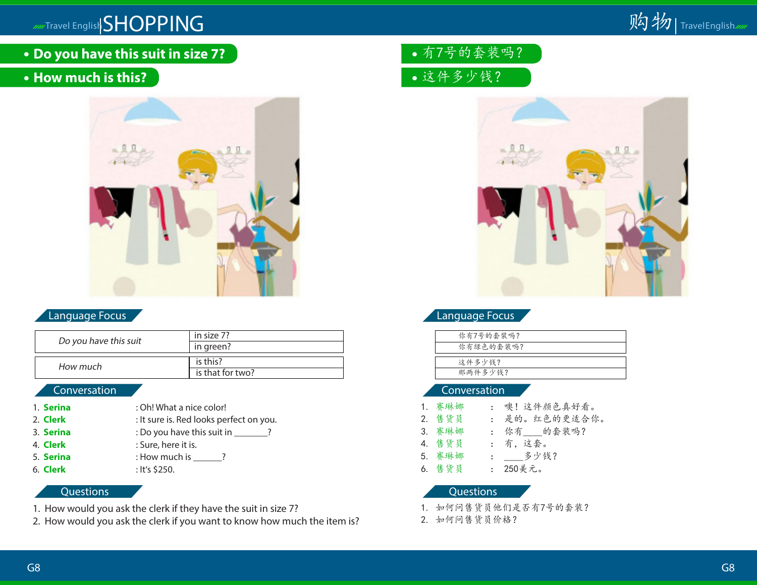**Do you have this suit in size 7?**

# **How much is this?**



# Language Focus

| Do you have this suit | in size 7?       |
|-----------------------|------------------|
|                       | in green?        |
|                       |                  |
| How much              | is this?         |
|                       | is that for two? |
|                       |                  |

# Conversation

- 1. **Serina** : Oh! What a nice color!
- 2. **Clerk** : It sure is. Red looks perfect on you.
- 3. **Serina** : Do you have this suit in \_\_\_\_\_\_?
- 4. **Clerk** : Sure, here it is.
- 5. **Serina** : How much is \_\_\_\_\_?
- 6. **Clerk** : It's \$250.

# **Questions**

- 1. How would you ask the clerk if they have the suit in size 7?
- 2. How would you ask the clerk if you want to know how much the item is?
- 有7号的套装吗?
- 这件多少钱?



# Language Focus

| 你有7号的套装吗? |
|-----------|
| 你有绿色的套装吗? |
|           |
| 这件多少钱?    |
| 那两件多少钱?   |
|           |

### Conversation

- 1. 赛琳娜 : 噢!这件颜色真好看。
- 2. 售货员 : 是的。红色的更适合你。
- 3. 赛琳娜 : 你有 的套装吗?
- 4. 售货员 : 有,这套。
- 5. 赛琳娜 : \_\_\_\_多少钱?
- 6. 售货员 : 250美元。

- 1. 如何问售货员他们是否有7号的套装?
- 2. 如何问售货员价格?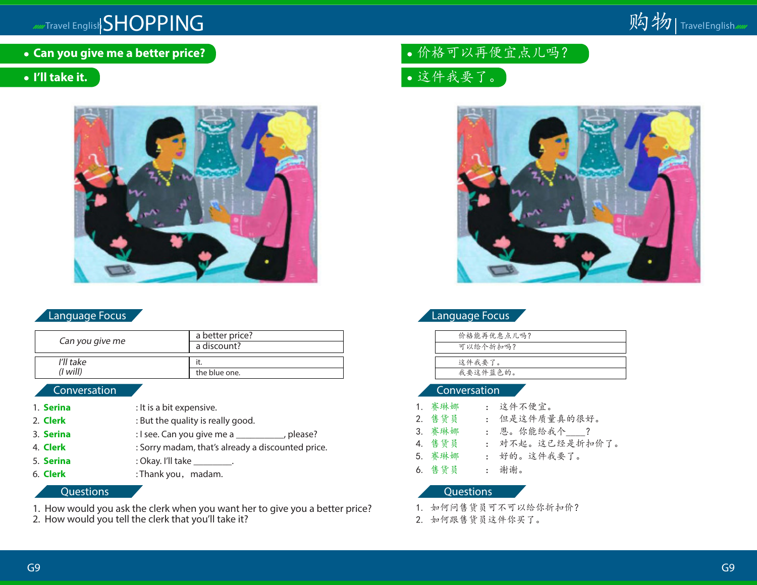**Can you give me a better price?**

# **I'll take it.**



# Language Focus

| Can you give me       | a better price?<br>a discount? |
|-----------------------|--------------------------------|
| I'll take<br>(I will) | the blue one.                  |

# Conversation

1. **Serina** : It is a bit expensive. 2. **Clerk** : But the quality is really good. 3. **Serina** : I see. Can you give me a \_\_\_\_\_\_\_\_, please? 4. **Clerk** : Sorry madam, that's already a discounted price. 5. **Serina** : Okay. I'll take \_\_\_\_\_\_\_\_\_. 6. **Clerk** : Thank you, madam.

### **Questions**

- 1. How would you ask the clerk when you want her to give you a better price?
- 2. How would you tell the clerk that you'll take it?

# 价格可以再便宜点儿吗?

这件我要了。



|  | 'Language Focus |  |
|--|-----------------|--|
|  |                 |  |

#### Conversation

1. 赛琳娜 : 这件不便宜。 2. 售货员 : 但是这件质量真的很好。 3. 赛琳娜 : 恩。你能给我个\_\_\_\_? 4. 售货员 : 对不起。这已经是折扣价了。 5. 赛琳娜 : 好的。这件我要了。 6. 售货员 : 谢谢。

- 1. 如何问售货员可不可以给你折扣价?
- 2. 如何跟售货员这件你买了。